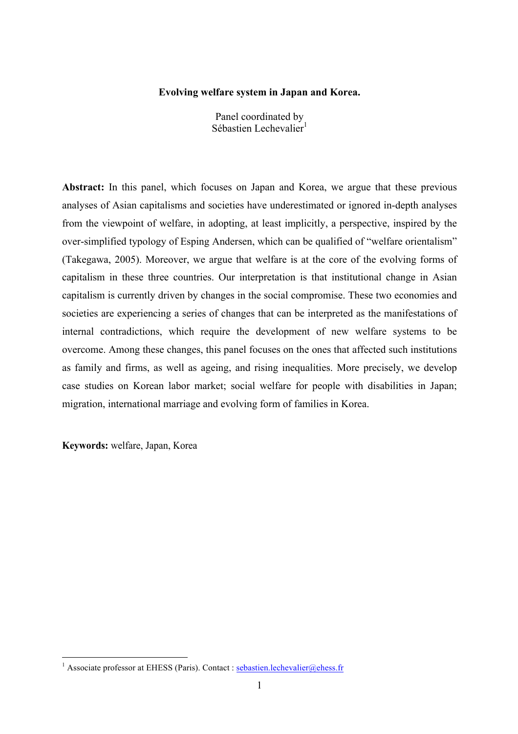### **Evolving welfare system in Japan and Korea.**

Panel coordinated by Sébastien Lechevalier<sup>1</sup>

Abstract: In this panel, which focuses on Japan and Korea, we argue that these previous analyses of Asian capitalisms and societies have underestimated or ignored in-depth analyses from the viewpoint of welfare, in adopting, at least implicitly, a perspective, inspired by the over-simplified typology of Esping Andersen, which can be qualified of "welfare orientalism" (Takegawa, 2005). Moreover, we argue that welfare is at the core of the evolving forms of capitalism in these three countries. Our interpretation is that institutional change in Asian capitalism is currently driven by changes in the social compromise. These two economies and societies are experiencing a series of changes that can be interpreted as the manifestations of internal contradictions, which require the development of new welfare systems to be overcome. Among these changes, this panel focuses on the ones that affected such institutions as family and firms, as well as ageing, and rising inequalities. More precisely, we develop case studies on Korean labor market; social welfare for people with disabilities in Japan; migration, international marriage and evolving form of families in Korea.

**Keywords:** welfare, Japan, Korea

<sup>&</sup>lt;sup>1</sup> Associate professor at EHESS (Paris). Contact : sebastien.lechevalier@ehess.fr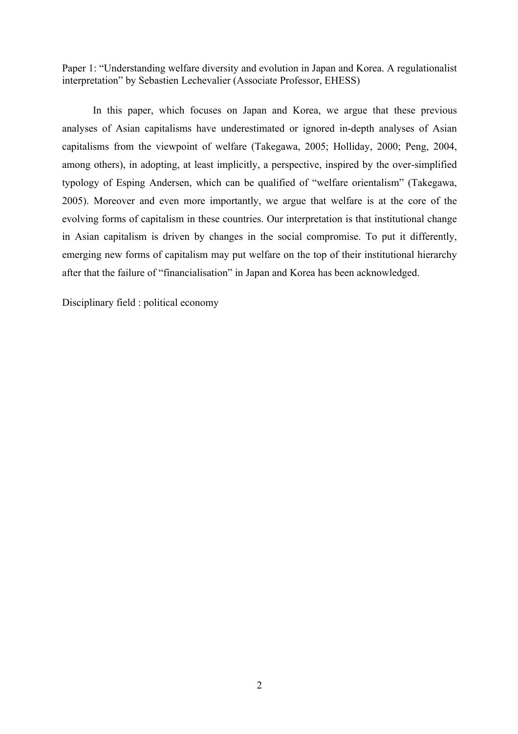Paper 1: "Understanding welfare diversity and evolution in Japan and Korea. A regulationalist interpretation" by Sebastien Lechevalier (Associate Professor, EHESS)

In this paper, which focuses on Japan and Korea, we argue that these previous analyses of Asian capitalisms have underestimated or ignored in-depth analyses of Asian capitalisms from the viewpoint of welfare (Takegawa, 2005; Holliday, 2000; Peng, 2004, among others), in adopting, at least implicitly, a perspective, inspired by the over-simplified typology of Esping Andersen, which can be qualified of "welfare orientalism" (Takegawa, 2005). Moreover and even more importantly, we argue that welfare is at the core of the evolving forms of capitalism in these countries. Our interpretation is that institutional change in Asian capitalism is driven by changes in the social compromise. To put it differently, emerging new forms of capitalism may put welfare on the top of their institutional hierarchy after that the failure of "financialisation" in Japan and Korea has been acknowledged.

Disciplinary field : political economy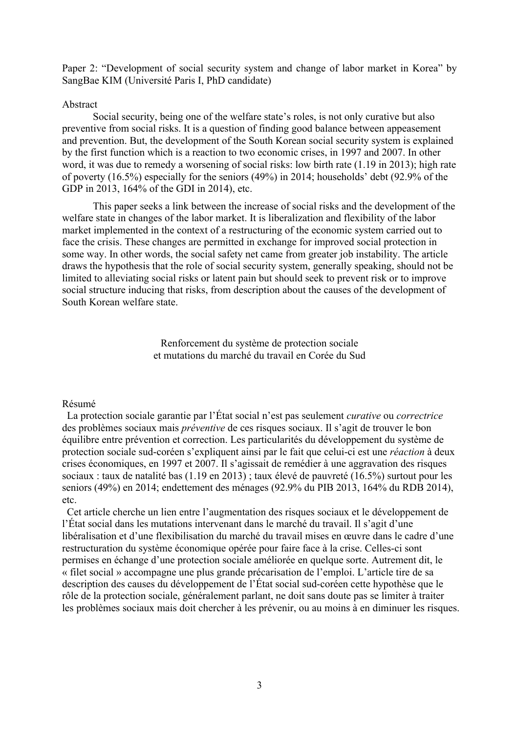Paper 2: "Development of social security system and change of labor market in Korea" by SangBae KIM (Université Paris I, PhD candidate)

### Abstract

Social security, being one of the welfare state's roles, is not only curative but also preventive from social risks. It is a question of finding good balance between appeasement and prevention. But, the development of the South Korean social security system is explained by the first function which is a reaction to two economic crises, in 1997 and 2007. In other word, it was due to remedy a worsening of social risks: low birth rate (1.19 in 2013); high rate of poverty (16.5%) especially for the seniors (49%) in 2014; households' debt (92.9% of the GDP in 2013, 164% of the GDI in 2014), etc.

This paper seeks a link between the increase of social risks and the development of the welfare state in changes of the labor market. It is liberalization and flexibility of the labor market implemented in the context of a restructuring of the economic system carried out to face the crisis. These changes are permitted in exchange for improved social protection in some way. In other words, the social safety net came from greater job instability. The article draws the hypothesis that the role of social security system, generally speaking, should not be limited to alleviating social risks or latent pain but should seek to prevent risk or to improve social structure inducing that risks, from description about the causes of the development of South Korean welfare state.

> Renforcement du système de protection sociale et mutations du marché du travail en Corée du Sud

#### Résumé

La protection sociale garantie par l'État social n'est pas seulement *curative* ou *correctrice* des problèmes sociaux mais *préventive* de ces risques sociaux. Il s'agit de trouver le bon équilibre entre prévention et correction. Les particularités du développement du système de protection sociale sud-coréen s'expliquent ainsi par le fait que celui-ci est une *réaction* à deux crises économiques, en 1997 et 2007. Il s'agissait de remédier à une aggravation des risques sociaux : taux de natalité bas (1.19 en 2013) ; taux élevé de pauvreté (16.5%) surtout pour les seniors (49%) en 2014; endettement des ménages (92.9% du PIB 2013, 164% du RDB 2014), etc.

Cet article cherche un lien entre l'augmentation des risques sociaux et le développement de l'État social dans les mutations intervenant dans le marché du travail. Il s'agit d'une libéralisation et d'une flexibilisation du marché du travail mises en œuvre dans le cadre d'une restructuration du système économique opérée pour faire face à la crise. Celles-ci sont permises en échange d'une protection sociale améliorée en quelque sorte. Autrement dit, le « filet social » accompagne une plus grande précarisation de l'emploi. L'article tire de sa description des causes du développement de l'État social sud-coréen cette hypothèse que le rôle de la protection sociale, généralement parlant, ne doit sans doute pas se limiter à traiter les problèmes sociaux mais doit chercher à les prévenir, ou au moins à en diminuer les risques.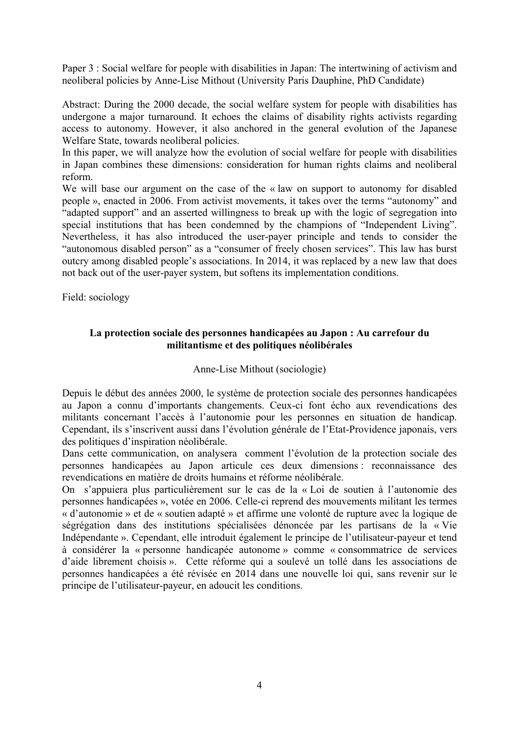Paper 3 : Social welfare for people with disabilities in Japan: The intertwining of activism and neoliberal policies by Anne-Lise Mithout (University Paris Dauphine, PhD Candidate)

Abstract: During the 2000 decade, the social welfare system for people with disabilities has undergone a major turnaround. It echoes the claims of disability rights activists regarding access to autonomy. However, it also anchored in the general evolution of the Japanese Welfare State, towards neoliberal policies.

In this paper, we will analyze how the evolution of social welfare for people with disabilities in Japan combines these dimensions: consideration for human rights claims and neoliberal reform.

We will base our argument on the case of the « law on support to autonomy for disabled people », enacted in 2006. From activist movements, it takes over the terms "autonomy" and "adapted support" and an asserted willingness to break up with the logic of segregation into special institutions that has been condemned by the champions of "Independent Living". Nevertheless, it has also introduced the user-payer principle and tends to consider the "autonomous disabled person" as a "consumer of freely chosen services". This law has burst outcry among disabled people's associations. In 2014, it was replaced by a new law that does not back out of the user-payer system, but softens its implementation conditions.

Field: sociology

# **La protection sociale des personnes handicapées au Japon : Au carrefour du militantisme et des politiques néolibérales**

## Anne-Lise Mithout (sociologie)

Depuis le début des années 2000, le système de protection sociale des personnes handicapées au Japon a connu d'importants changements. Ceux-ci font écho aux revendications des militants concernant l'accès à l'autonomie pour les personnes en situation de handicap. Cependant, ils s'inscrivent aussi dans l'évolution générale de l'Etat-Providence japonais, vers des politiques d'inspiration néolibérale.

Dans cette communication, on analysera comment l'évolution de la protection sociale des personnes handicapées au Japon articule ces deux dimensions : reconnaissance des revendications en matière de droits humains et réforme néolibérale.

On s'appuiera plus particulièrement sur le cas de la « Loi de soutien à l'autonomie des personnes handicapées », votée en 2006. Celle-ci reprend des mouvements militant les termes « d'autonomie » et de « soutien adapté » et affirme une volonté de rupture avec la logique de ségrégation dans des institutions spécialisées dénoncée par les partisans de la « Vie Indépendante ». Cependant, elle introduit également le principe de l'utilisateur-payeur et tend à considérer la « personne handicapée autonome » comme « consommatrice de services d'aide librement choisis ». Cette réforme qui a soulevé un tollé dans les associations de personnes handicapées a été révisée en 2014 dans une nouvelle loi qui, sans revenir sur le principe de l'utilisateur-payeur, en adoucit les conditions.